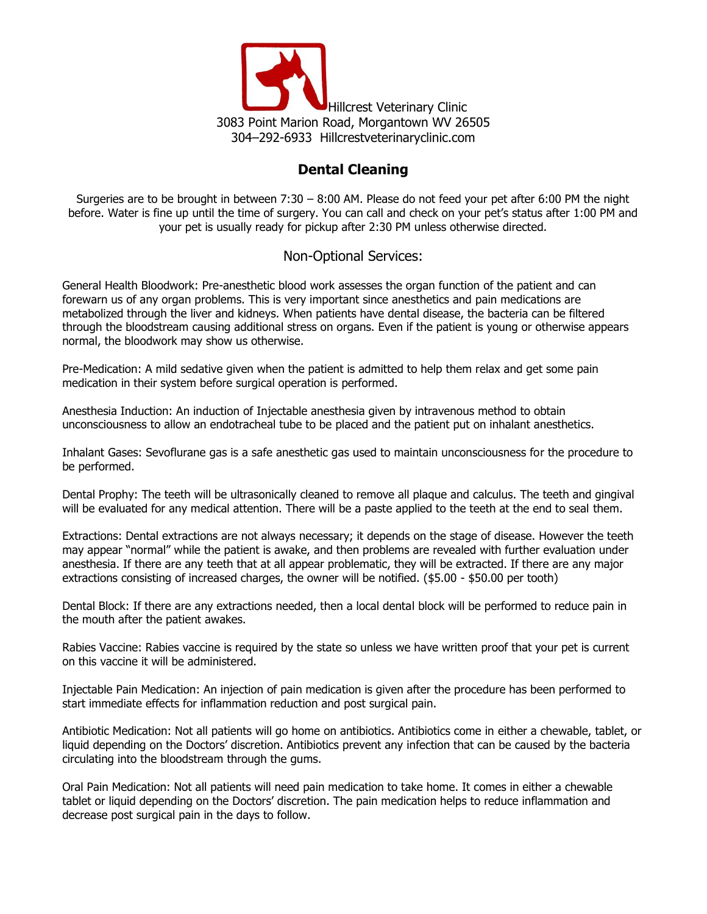

## **Dental Cleaning**

Surgeries are to be brought in between 7:30 – 8:00 AM. Please do not feed your pet after 6:00 PM the night before. Water is fine up until the time of surgery. You can call and check on your pet's status after 1:00 PM and your pet is usually ready for pickup after 2:30 PM unless otherwise directed.

## Non-Optional Services:

General Health Bloodwork: Pre-anesthetic blood work assesses the organ function of the patient and can forewarn us of any organ problems. This is very important since anesthetics and pain medications are metabolized through the liver and kidneys. When patients have dental disease, the bacteria can be filtered through the bloodstream causing additional stress on organs. Even if the patient is young or otherwise appears normal, the bloodwork may show us otherwise.

Pre-Medication: A mild sedative given when the patient is admitted to help them relax and get some pain medication in their system before surgical operation is performed.

Anesthesia Induction: An induction of Injectable anesthesia given by intravenous method to obtain unconsciousness to allow an endotracheal tube to be placed and the patient put on inhalant anesthetics.

Inhalant Gases: Sevoflurane gas is a safe anesthetic gas used to maintain unconsciousness for the procedure to be performed.

Dental Prophy: The teeth will be ultrasonically cleaned to remove all plaque and calculus. The teeth and gingival will be evaluated for any medical attention. There will be a paste applied to the teeth at the end to seal them.

Extractions: Dental extractions are not always necessary; it depends on the stage of disease. However the teeth may appear "normal" while the patient is awake, and then problems are revealed with further evaluation under anesthesia. If there are any teeth that at all appear problematic, they will be extracted. If there are any major extractions consisting of increased charges, the owner will be notified. (\$5.00 - \$50.00 per tooth)

Dental Block: If there are any extractions needed, then a local dental block will be performed to reduce pain in the mouth after the patient awakes.

Rabies Vaccine: Rabies vaccine is required by the state so unless we have written proof that your pet is current on this vaccine it will be administered.

Injectable Pain Medication: An injection of pain medication is given after the procedure has been performed to start immediate effects for inflammation reduction and post surgical pain.

Antibiotic Medication: Not all patients will go home on antibiotics. Antibiotics come in either a chewable, tablet, or liquid depending on the Doctors' discretion. Antibiotics prevent any infection that can be caused by the bacteria circulating into the bloodstream through the gums.

Oral Pain Medication: Not all patients will need pain medication to take home. It comes in either a chewable tablet or liquid depending on the Doctors' discretion. The pain medication helps to reduce inflammation and decrease post surgical pain in the days to follow.